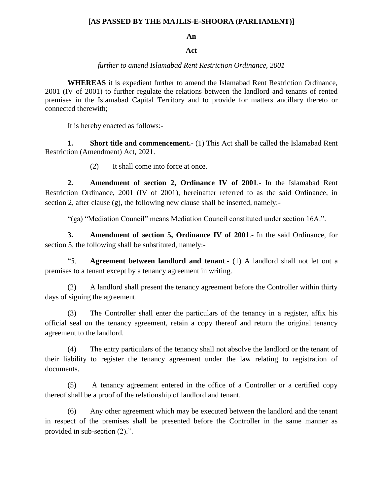## **[AS PASSED BY THE MAJLIS-E-SHOORA (PARLIAMENT)]**

## **An**

## **Act**

## *further to amend Islamabad Rent Restriction Ordinance, 2001*

**WHEREAS** it is expedient further to amend the Islamabad Rent Restriction Ordinance, 2001 (IV of 2001) to further regulate the relations between the landlord and tenants of rented premises in the Islamabad Capital Territory and to provide for matters ancillary thereto or connected therewith;

It is hereby enacted as follows:-

**1. Short title and commencement.** (1) This Act shall be called the Islamabad Rent Restriction (Amendment) Act, 2021.

(2) It shall come into force at once.

**2. Amendment of section 2, Ordinance IV of 2001**.- In the Islamabad Rent Restriction Ordinance, 2001 (IV of 2001), hereinafter referred to as the said Ordinance, in section 2, after clause (g), the following new clause shall be inserted, namely:-

"(ga) "Mediation Council" means Mediation Council constituted under section 16A.".

**3. Amendment of section 5, Ordinance IV of 2001**.- In the said Ordinance, for section 5, the following shall be substituted, namely:-

"5. **Agreement between landlord and tenant**.- (1) A landlord shall not let out a premises to a tenant except by a tenancy agreement in writing.

(2) A landlord shall present the tenancy agreement before the Controller within thirty days of signing the agreement.

(3) The Controller shall enter the particulars of the tenancy in a register, affix his official seal on the tenancy agreement, retain a copy thereof and return the original tenancy agreement to the landlord.

(4) The entry particulars of the tenancy shall not absolve the landlord or the tenant of their liability to register the tenancy agreement under the law relating to registration of documents.

(5) A tenancy agreement entered in the office of a Controller or a certified copy thereof shall be a proof of the relationship of landlord and tenant.

(6) Any other agreement which may be executed between the landlord and the tenant in respect of the premises shall be presented before the Controller in the same manner as provided in sub-section (2).".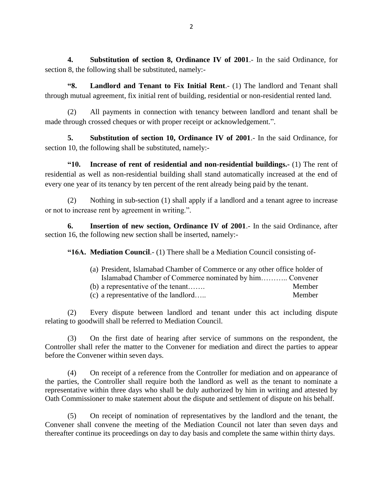**4. Substitution of section 8, Ordinance IV of 2001**.- In the said Ordinance, for section 8, the following shall be substituted, namely:-

**"8. Landlord and Tenant to Fix Initial Rent**.- (1) The landlord and Tenant shall through mutual agreement, fix initial rent of building, residential or non-residential rented land.

(2) All payments in connection with tenancy between landlord and tenant shall be made through crossed cheques or with proper receipt or acknowledgement.".

**5. Substitution of section 10, Ordinance IV of 2001**.- In the said Ordinance, for section 10, the following shall be substituted, namely:-

**"10. Increase of rent of residential and non-residential buildings.-** (1) The rent of residential as well as non-residential building shall stand automatically increased at the end of every one year of its tenancy by ten percent of the rent already being paid by the tenant.

(2) Nothing in sub-section (1) shall apply if a landlord and a tenant agree to increase or not to increase rent by agreement in writing.".

**6. Insertion of new section, Ordinance IV of 2001**.- In the said Ordinance, after section 16, the following new section shall be inserted, namely:-

**"16A. Mediation Council**.- (1) There shall be a Mediation Council consisting of-

| (a) President, Islamabad Chamber of Commerce or any other office holder of |        |
|----------------------------------------------------------------------------|--------|
| Islamabad Chamber of Commerce nominated by him Convener                    |        |
| (b) a representative of the tenant                                         | Member |
| (c) a representative of the landlord                                       | Member |

(2) Every dispute between landlord and tenant under this act including dispute relating to goodwill shall be referred to Mediation Council.

(3) On the first date of hearing after service of summons on the respondent, the Controller shall refer the matter to the Convener for mediation and direct the parties to appear before the Convener within seven days.

(4) On receipt of a reference from the Controller for mediation and on appearance of the parties, the Controller shall require both the landlord as well as the tenant to nominate a representative within three days who shall be duly authorized by him in writing and attested by Oath Commissioner to make statement about the dispute and settlement of dispute on his behalf.

(5) On receipt of nomination of representatives by the landlord and the tenant, the Convener shall convene the meeting of the Mediation Council not later than seven days and thereafter continue its proceedings on day to day basis and complete the same within thirty days.